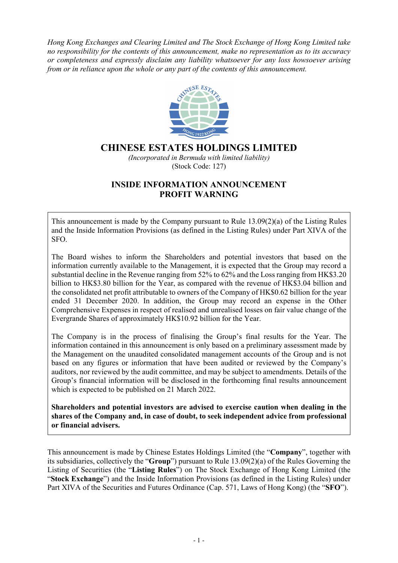*Hong Kong Exchanges and Clearing Limited and The Stock Exchange of Hong Kong Limited take no responsibility for the contents of this announcement, make no representation as to its accuracy or completeness and expressly disclaim any liability whatsoever for any loss howsoever arising from or in reliance upon the whole or any part of the contents of this announcement.*



## **CHINESE ESTATES HOLDINGS LIMITED**

*(Incorporated in Bermuda with limited liability)* (Stock Code: 127)

## **INSIDE INFORMATION ANNOUNCEMENT PROFIT WARNING**

This announcement is made by the Company pursuant to Rule 13.09(2)(a) of the Listing Rules and the Inside Information Provisions (as defined in the Listing Rules) under Part XIVA of the SFO.

The Board wishes to inform the Shareholders and potential investors that based on the information currently available to the Management, it is expected that the Group may record a substantial decline in the Revenue ranging from 52% to 62% and the Loss ranging from HK\$3.20 billion to HK\$3.80 billion for the Year, as compared with the revenue of HK\$3.04 billion and the consolidated net profit attributable to owners of the Company of HK\$0.62 billion for the year ended 31 December 2020. In addition, the Group may record an expense in the Other Comprehensive Expenses in respect of realised and unrealised losses on fair value change of the Evergrande Shares of approximately HK\$10.92 billion for the Year.

The Company is in the process of finalising the Group's final results for the Year. The information contained in this announcement is only based on a preliminary assessment made by the Management on the unaudited consolidated management accounts of the Group and is not based on any figures or information that have been audited or reviewed by the Company's auditors, nor reviewed by the audit committee, and may be subject to amendments. Details of the Group's financial information will be disclosed in the forthcoming final results announcement which is expected to be published on 21 March 2022.

**Shareholders and potential investors are advised to exercise caution when dealing in the shares of the Company and, in case of doubt, to seek independent advice from professional or financial advisers.**

This announcement is made by Chinese Estates Holdings Limited (the "**Company**", together with its subsidiaries, collectively the "**Group**") pursuant to Rule 13.09(2)(a) of the Rules Governing the Listing of Securities (the "**Listing Rules**") on The Stock Exchange of Hong Kong Limited (the "**Stock Exchange**") and the Inside Information Provisions (as defined in the Listing Rules) under Part XIVA of the Securities and Futures Ordinance (Cap. 571, Laws of Hong Kong) (the "**SFO**").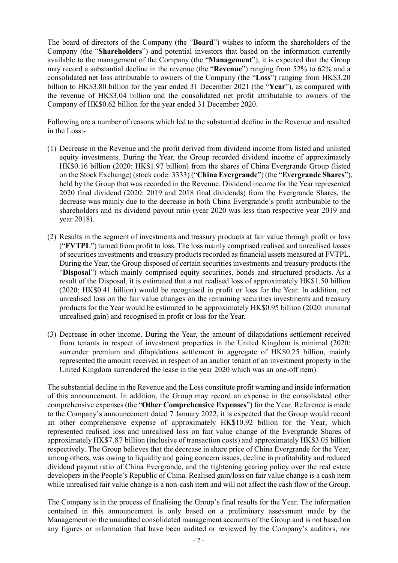The board of directors of the Company (the "**Board**") wishes to inform the shareholders of the Company (the "**Shareholders**") and potential investors that based on the information currently available to the management of the Company (the "**Management**"), it is expected that the Group may record a substantial decline in the revenue (the "**Revenue**") ranging from 52% to 62% and a consolidated net loss attributable to owners of the Company (the "**Loss**") ranging from HK\$3.20 billion to HK\$3.80 billion for the year ended 31 December 2021 (the "**Year**"), as compared with the revenue of HK\$3.04 billion and the consolidated net profit attributable to owners of the Company of HK\$0.62 billion for the year ended 31 December 2020.

Following are a number of reasons which led to the substantial decline in the Revenue and resulted in the Loss:-

- (1) Decrease in the Revenue and the profit derived from dividend income from listed and unlisted equity investments. During the Year, the Group recorded dividend income of approximately HK\$0.16 billion (2020: HK\$1.97 billion) from the shares of China Evergrande Group (listed on the Stock Exchange) (stock code: 3333) ("**China Evergrande**") (the "**Evergrande Shares**"), held by the Group that was recorded in the Revenue. Dividend income for the Year represented 2020 final dividend (2020: 2019 and 2018 final dividends) from the Evergrande Shares, the decrease was mainly due to the decrease in both China Evergrande's profit attributable to the shareholders and its dividend payout ratio (year 2020 was less than respective year 2019 and year 2018).
- (2) Results in the segment of investments and treasury products at fair value through profit or loss ("**FVTPL**") turned from profit to loss. The loss mainly comprised realised and unrealised losses of securities investments and treasury products recorded as financial assets measured at FVTPL. During the Year, the Group disposed of certain securities investments and treasury products (the "**Disposal**") which mainly comprised equity securities, bonds and structured products. As a result of the Disposal, it is estimated that a net realised loss of approximately HK\$1.50 billion (2020: HK\$0.41 billion) would be recognised in profit or loss for the Year. In addition, net unrealised loss on the fair value changes on the remaining securities investments and treasury products for the Year would be estimated to be approximately HK\$0.95 billion (2020: minimal unrealised gain) and recognised in profit or loss for the Year.
- (3) Decrease in other income. During the Year, the amount of dilapidations settlement received from tenants in respect of investment properties in the United Kingdom is minimal (2020: surrender premium and dilapidations settlement in aggregate of HK\$0.25 billion, mainly represented the amount received in respect of an anchor tenant of an investment property in the United Kingdom surrendered the lease in the year 2020 which was an one-off item).

The substantial decline in the Revenue and the Loss constitute profit warning and inside information of this announcement. In addition, the Group may record an expense in the consolidated other comprehensive expenses (the "**Other Comprehensive Expenses**") for the Year. Reference is made to the Company's announcement dated 7 January 2022, it is expected that the Group would record an other comprehensive expense of approximately HK\$10.92 billion for the Year, which represented realised loss and unrealised loss on fair value change of the Evergrande Shares of approximately HK\$7.87 billion (inclusive of transaction costs) and approximately HK\$3.05 billion respectively. The Group believes that the decrease in share price of China Evergrande for the Year, among others, was owing to liquidity and going concern issues, decline in profitability and reduced dividend payout ratio of China Evergrande, and the tightening gearing policy over the real estate developers in the People's Republic of China. Realised gain/loss on fair value change is a cash item while unrealised fair value change is a non-cash item and will not affect the cash flow of the Group.

The Company is in the process of finalising the Group's final results for the Year. The information contained in this announcement is only based on a preliminary assessment made by the Management on the unaudited consolidated management accounts of the Group and is not based on any figures or information that have been audited or reviewed by the Company's auditors, nor